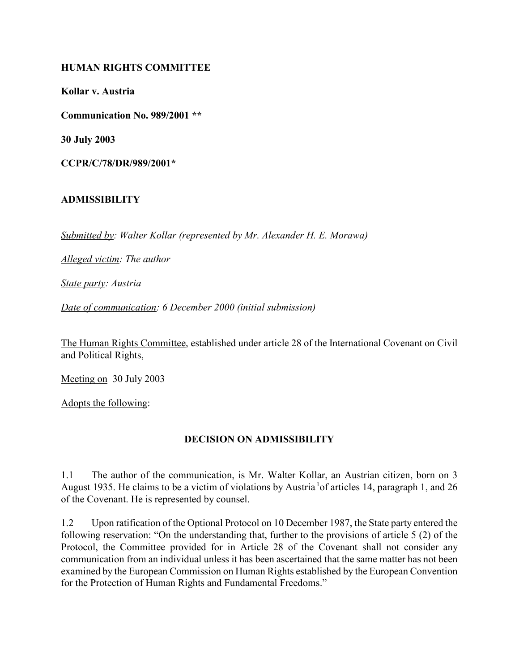#### HUMAN RIGHTS COMMITTEE

Kollar v. Austria

Communication No. 989/2001 \*\*

30 July 2003

CCPR/C/78/DR/989/2001\*

#### ADMISSIBILITY

Submitted by: Walter Kollar (represented by Mr. Alexander H. E. Morawa)

Alleged victim: The author

State party: Austria

Date of communication: 6 December 2000 (initial submission)

The Human Rights Committee, established under article 28 of the International Covenant on Civil and Political Rights,

Meeting on 30 July 2003

Adopts the following:

#### DECISION ON ADMISSIBILITY

1.1 The author of the communication, is Mr. Walter Kollar, an Austrian citizen, born on 3 August 1935. He claims to be a victim of violations by Austria<sup>1</sup> of articles 14, paragraph 1, and 26 of the Covenant. He is represented by counsel.

1.2 Upon ratification of the Optional Protocol on 10 December 1987, the State party entered the following reservation: "On the understanding that, further to the provisions of article 5 (2) of the Protocol, the Committee provided for in Article 28 of the Covenant shall not consider any communication from an individual unless it has been ascertained that the same matter has not been examined by the European Commission on Human Rights established by the European Convention for the Protection of Human Rights and Fundamental Freedoms."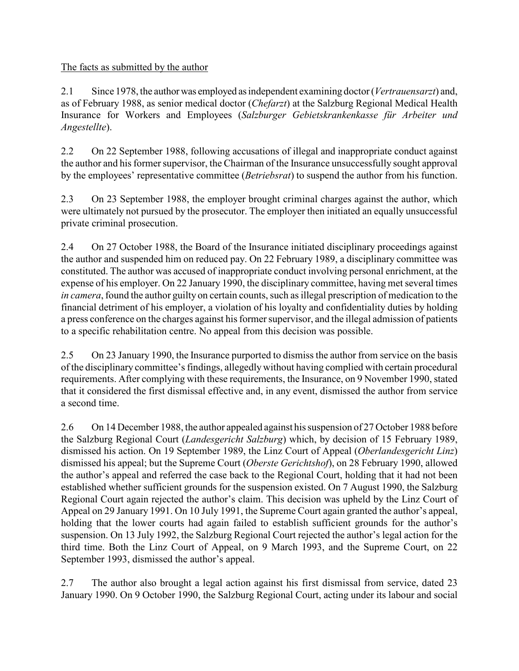The facts as submitted by the author

2.1 Since 1978, the author was employed as independent examining doctor (Vertrauensarzt) and, as of February 1988, as senior medical doctor (Chefarzt) at the Salzburg Regional Medical Health Insurance for Workers and Employees (Salzburger Gebietskrankenkasse für Arbeiter und Angestellte).

2.2 On 22 September 1988, following accusations of illegal and inappropriate conduct against the author and his former supervisor, the Chairman of the Insurance unsuccessfully sought approval by the employees' representative committee (Betriebsrat) to suspend the author from his function.

2.3 On 23 September 1988, the employer brought criminal charges against the author, which were ultimately not pursued by the prosecutor. The employer then initiated an equally unsuccessful private criminal prosecution.

2.4 On 27 October 1988, the Board of the Insurance initiated disciplinary proceedings against the author and suspended him on reduced pay. On 22 February 1989, a disciplinary committee was constituted. The author was accused of inappropriate conduct involving personal enrichment, at the expense of his employer. On 22 January 1990, the disciplinary committee, having met several times in camera, found the author guilty on certain counts, such as illegal prescription of medication to the financial detriment of his employer, a violation of his loyalty and confidentiality duties by holding a press conference on the charges against his former supervisor, and the illegal admission of patients to a specific rehabilitation centre. No appeal from this decision was possible.

2.5 On 23 January 1990, the Insurance purported to dismiss the author from service on the basis of the disciplinary committee's findings, allegedly without having complied with certain procedural requirements. After complying with these requirements, the Insurance, on 9 November 1990, stated that it considered the first dismissal effective and, in any event, dismissed the author from service a second time.

2.6 On 14 December 1988, the author appealed against his suspension of 27 October 1988 before the Salzburg Regional Court (Landesgericht Salzburg) which, by decision of 15 February 1989, dismissed his action. On 19 September 1989, the Linz Court of Appeal (Oberlandesgericht Linz) dismissed his appeal; but the Supreme Court (Oberste Gerichtshof), on 28 February 1990, allowed the author's appeal and referred the case back to the Regional Court, holding that it had not been established whether sufficient grounds for the suspension existed. On 7 August 1990, the Salzburg Regional Court again rejected the author's claim. This decision was upheld by the Linz Court of Appeal on 29 January 1991. On 10 July 1991, the Supreme Court again granted the author's appeal, holding that the lower courts had again failed to establish sufficient grounds for the author's suspension. On 13 July 1992, the Salzburg Regional Court rejected the author's legal action for the third time. Both the Linz Court of Appeal, on 9 March 1993, and the Supreme Court, on 22 September 1993, dismissed the author's appeal.

2.7 The author also brought a legal action against his first dismissal from service, dated 23 January 1990. On 9 October 1990, the Salzburg Regional Court, acting under its labour and social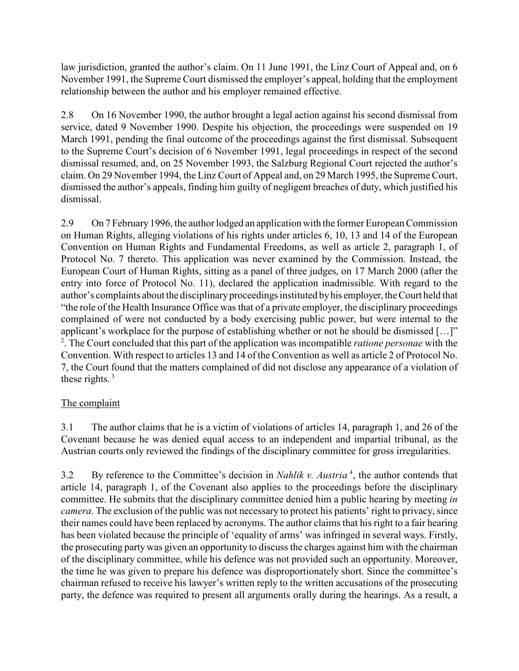law jurisdiction, granted the author's claim. On 11 June 1991, the Linz Court of Appeal and, on 6 November 1991, the Supreme Court dismissed the employer's appeal, holding that the employment relationship between the author and his employer remained effective.

2.8 On 16 November 1990, the author brought a legal action against his second dismissal from service, dated 9 November 1990. Despite his objection, the proceedings were suspended on 19 March 1991, pending the final outcome of the proceedings against the first dismissal. Subsequent to the Supreme Court's decision of 6 November 1991, legal proceedings in respect of the second dismissal resumed, and, on 25 November 1993, the Salzburg Regional Court rejected the author's claim. On 29 November 1994, the Linz Court of Appeal and, on 29 March 1995, the Supreme Court, dismissed the author's appeals, finding him guilty of negligent breaches of duty, which justified his dismissal.

2.9 On 7 February 1996, the author lodged an application with the former European Commission on Human Rights, alleging violations of his rights under articles 6, 10, 13 and 14 of the European Convention on Human Rights and Fundamental Freedoms, as well as article 2, paragraph 1, of Protocol No. 7 thereto. This application was never examined by the Commission. Instead, the European Court of Human Rights, sitting as a panel of three judges, on 17 March 2000 (after the entry into force of Protocol No. 11), declared the application inadmissible. With regard to the author's complaints about the disciplinary proceedings instituted by his employer, the Court held that "the role of the Health Insurance Office was that of a private employer, the disciplinary proceedings complained of were not conducted by a body exercising public power, but were internal to the applicant's workplace for the purpose of establishing whether or not he should be dismissed […]" <sup>2</sup>. The Court concluded that this part of the application was incompatible *ratione personae* with the Convention. With respect to articles 13 and 14 of the Convention as well as article 2 of Protocol No. 7, the Court found that the matters complained of did not disclose any appearance of a violation of these rights. $3$ 

### The complaint

3.1 The author claims that he is a victim of violations of articles 14, paragraph 1, and 26 of the Covenant because he was denied equal access to an independent and impartial tribunal, as the Austrian courts only reviewed the findings of the disciplinary committee for gross irregularities.

3.2 By reference to the Committee's decision in *Nahlik v. Austria*<sup>4</sup>, the author contends that article 14, paragraph 1, of the Covenant also applies to the proceedings before the disciplinary committee. He submits that the disciplinary committee denied him a public hearing by meeting in camera. The exclusion of the public was not necessary to protect his patients' right to privacy, since their names could have been replaced by acronyms. The author claims that his right to a fair hearing has been violated because the principle of 'equality of arms' was infringed in several ways. Firstly, the prosecuting party was given an opportunity to discuss the charges against him with the chairman of the disciplinary committee, while his defence was not provided such an opportunity. Moreover, the time he was given to prepare his defence was disproportionately short. Since the committee's chairman refused to receive his lawyer's written reply to the written accusations of the prosecuting party, the defence was required to present all arguments orally during the hearings. As a result, a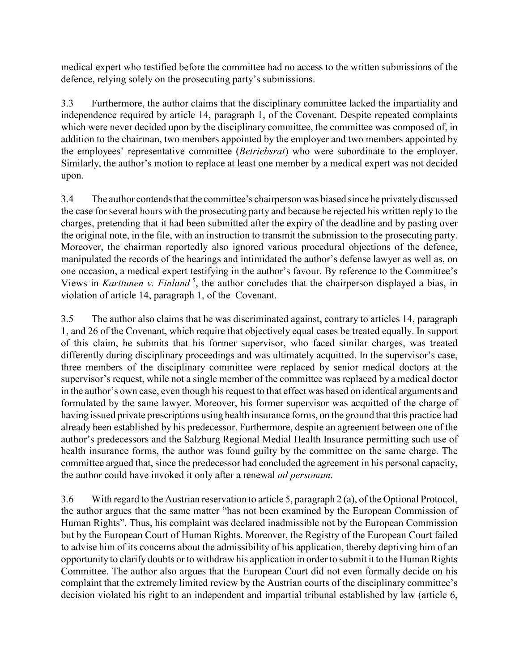medical expert who testified before the committee had no access to the written submissions of the defence, relying solely on the prosecuting party's submissions.

3.3 Furthermore, the author claims that the disciplinary committee lacked the impartiality and independence required by article 14, paragraph 1, of the Covenant. Despite repeated complaints which were never decided upon by the disciplinary committee, the committee was composed of, in addition to the chairman, two members appointed by the employer and two members appointed by the employees' representative committee (Betriebsrat) who were subordinate to the employer. Similarly, the author's motion to replace at least one member by a medical expert was not decided upon.

3.4 The author contends that the committee's chairperson was biased since he privately discussed the case for several hours with the prosecuting party and because he rejected his written reply to the charges, pretending that it had been submitted after the expiry of the deadline and by pasting over the original note, in the file, with an instruction to transmit the submission to the prosecuting party. Moreover, the chairman reportedly also ignored various procedural objections of the defence, manipulated the records of the hearings and intimidated the author's defense lawyer as well as, on one occasion, a medical expert testifying in the author's favour. By reference to the Committee's Views in Karttunen v. Finland<sup>5</sup>, the author concludes that the chairperson displayed a bias, in violation of article 14, paragraph 1, of the Covenant.

3.5 The author also claims that he was discriminated against, contrary to articles 14, paragraph 1, and 26 of the Covenant, which require that objectively equal cases be treated equally. In support of this claim, he submits that his former supervisor, who faced similar charges, was treated differently during disciplinary proceedings and was ultimately acquitted. In the supervisor's case, three members of the disciplinary committee were replaced by senior medical doctors at the supervisor's request, while not a single member of the committee was replaced by a medical doctor in the author's own case, even though his request to that effect was based on identical arguments and formulated by the same lawyer. Moreover, his former supervisor was acquitted of the charge of having issued private prescriptions using health insurance forms, on the ground that this practice had already been established by his predecessor. Furthermore, despite an agreement between one of the author's predecessors and the Salzburg Regional Medial Health Insurance permitting such use of health insurance forms, the author was found guilty by the committee on the same charge. The committee argued that, since the predecessor had concluded the agreement in his personal capacity, the author could have invoked it only after a renewal ad personam.

3.6 With regard to the Austrian reservation to article 5, paragraph 2 (a), of the Optional Protocol, the author argues that the same matter "has not been examined by the European Commission of Human Rights". Thus, his complaint was declared inadmissible not by the European Commission but by the European Court of Human Rights. Moreover, the Registry of the European Court failed to advise him of its concerns about the admissibility of his application, thereby depriving him of an opportunity to clarify doubts or to withdraw his application in order to submit it to the Human Rights Committee. The author also argues that the European Court did not even formally decide on his complaint that the extremely limited review by the Austrian courts of the disciplinary committee's decision violated his right to an independent and impartial tribunal established by law (article 6,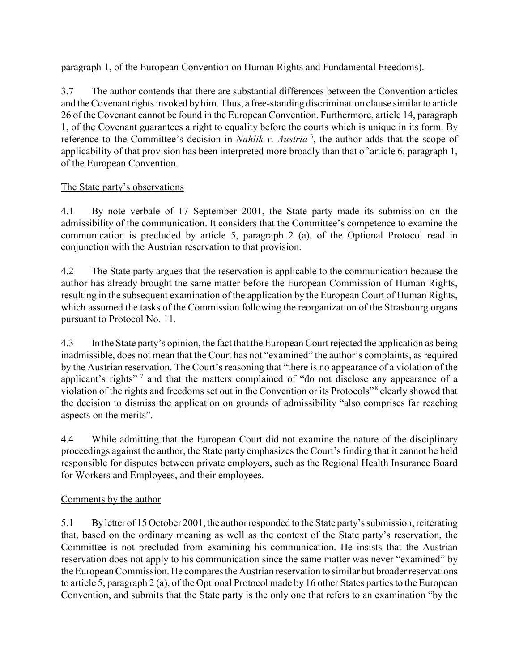paragraph 1, of the European Convention on Human Rights and Fundamental Freedoms).

3.7 The author contends that there are substantial differences between the Convention articles and the Covenant rights invoked by him. Thus, a free-standing discrimination clause similar to article 26 of the Covenant cannot be found in the European Convention. Furthermore, article 14, paragraph 1, of the Covenant guarantees a right to equality before the courts which is unique in its form. By reference to the Committee's decision in *Nahlik v. Austria*<sup>6</sup>, the author adds that the scope of applicability of that provision has been interpreted more broadly than that of article 6, paragraph 1, of the European Convention.

#### The State party's observations

4.1 By note verbale of 17 September 2001, the State party made its submission on the admissibility of the communication. It considers that the Committee's competence to examine the communication is precluded by article 5, paragraph 2 (a), of the Optional Protocol read in conjunction with the Austrian reservation to that provision.

4.2 The State party argues that the reservation is applicable to the communication because the author has already brought the same matter before the European Commission of Human Rights, resulting in the subsequent examination of the application by the European Court of Human Rights, which assumed the tasks of the Commission following the reorganization of the Strasbourg organs pursuant to Protocol No. 11.

4.3 In the State party's opinion, the fact that the European Court rejected the application as being inadmissible, does not mean that the Court has not "examined" the author's complaints, as required by the Austrian reservation. The Court's reasoning that "there is no appearance of a violation of the applicant's rights"<sup>7</sup> and that the matters complained of "do not disclose any appearance of a violation of the rights and freedoms set out in the Convention or its Protocols"<sup>8</sup> clearly showed that the decision to dismiss the application on grounds of admissibility "also comprises far reaching aspects on the merits".

4.4 While admitting that the European Court did not examine the nature of the disciplinary proceedings against the author, the State party emphasizes the Court's finding that it cannot be held responsible for disputes between private employers, such as the Regional Health Insurance Board for Workers and Employees, and their employees.

### Comments by the author

5.1 By letter of 15 October 2001, the author responded to the State party's submission, reiterating that, based on the ordinary meaning as well as the context of the State party's reservation, the Committee is not precluded from examining his communication. He insists that the Austrian reservation does not apply to his communication since the same matter was never "examined" by the European Commission. He compares the Austrian reservation to similar but broader reservations to article 5, paragraph 2 (a), of the Optional Protocol made by 16 other States parties to the European Convention, and submits that the State party is the only one that refers to an examination "by the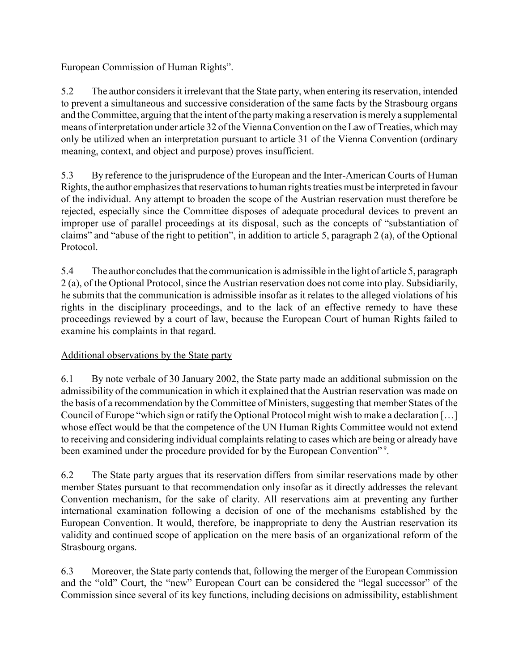European Commission of Human Rights".

5.2 The author considers it irrelevant that the State party, when entering its reservation, intended to prevent a simultaneous and successive consideration of the same facts by the Strasbourg organs and the Committee, arguing that the intent of the party making a reservation is merely a supplemental means of interpretation under article 32 of the Vienna Convention on the Law of Treaties, which may only be utilized when an interpretation pursuant to article 31 of the Vienna Convention (ordinary meaning, context, and object and purpose) proves insufficient.

5.3 By reference to the jurisprudence of the European and the Inter-American Courts of Human Rights, the author emphasizes that reservations to human rights treaties must be interpreted in favour of the individual. Any attempt to broaden the scope of the Austrian reservation must therefore be rejected, especially since the Committee disposes of adequate procedural devices to prevent an improper use of parallel proceedings at its disposal, such as the concepts of "substantiation of claims" and "abuse of the right to petition", in addition to article 5, paragraph 2 (a), of the Optional Protocol.

5.4 The author concludes that the communication is admissible in the light of article 5, paragraph 2 (a), of the Optional Protocol, since the Austrian reservation does not come into play. Subsidiarily, he submits that the communication is admissible insofar as it relates to the alleged violations of his rights in the disciplinary proceedings, and to the lack of an effective remedy to have these proceedings reviewed by a court of law, because the European Court of human Rights failed to examine his complaints in that regard.

### Additional observations by the State party

6.1 By note verbale of 30 January 2002, the State party made an additional submission on the admissibility of the communication in which it explained that the Austrian reservation was made on the basis of a recommendation by the Committee of Ministers, suggesting that member States of the Council of Europe "which sign or ratify the Optional Protocol might wish to make a declaration […] whose effect would be that the competence of the UN Human Rights Committee would not extend to receiving and considering individual complaints relating to cases which are being or already have been examined under the procedure provided for by the European Convention"<sup>9</sup>.

6.2 The State party argues that its reservation differs from similar reservations made by other member States pursuant to that recommendation only insofar as it directly addresses the relevant Convention mechanism, for the sake of clarity. All reservations aim at preventing any further international examination following a decision of one of the mechanisms established by the European Convention. It would, therefore, be inappropriate to deny the Austrian reservation its validity and continued scope of application on the mere basis of an organizational reform of the Strasbourg organs.

6.3 Moreover, the State party contends that, following the merger of the European Commission and the "old" Court, the "new" European Court can be considered the "legal successor" of the Commission since several of its key functions, including decisions on admissibility, establishment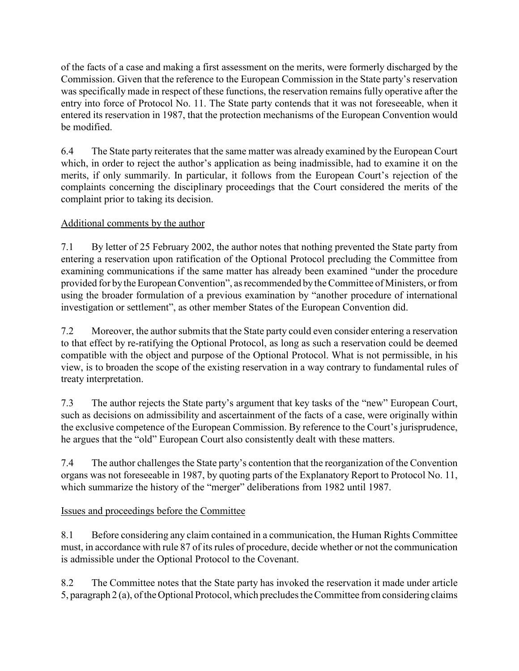of the facts of a case and making a first assessment on the merits, were formerly discharged by the Commission. Given that the reference to the European Commission in the State party's reservation was specifically made in respect of these functions, the reservation remains fully operative after the entry into force of Protocol No. 11. The State party contends that it was not foreseeable, when it entered its reservation in 1987, that the protection mechanisms of the European Convention would be modified.

6.4 The State party reiterates that the same matter was already examined by the European Court which, in order to reject the author's application as being inadmissible, had to examine it on the merits, if only summarily. In particular, it follows from the European Court's rejection of the complaints concerning the disciplinary proceedings that the Court considered the merits of the complaint prior to taking its decision.

## Additional comments by the author

7.1 By letter of 25 February 2002, the author notes that nothing prevented the State party from entering a reservation upon ratification of the Optional Protocol precluding the Committee from examining communications if the same matter has already been examined "under the procedure provided for by the European Convention", as recommended by the Committee of Ministers, or from using the broader formulation of a previous examination by "another procedure of international investigation or settlement", as other member States of the European Convention did.

7.2 Moreover, the author submits that the State party could even consider entering a reservation to that effect by re-ratifying the Optional Protocol, as long as such a reservation could be deemed compatible with the object and purpose of the Optional Protocol. What is not permissible, in his view, is to broaden the scope of the existing reservation in a way contrary to fundamental rules of treaty interpretation.

7.3 The author rejects the State party's argument that key tasks of the "new" European Court, such as decisions on admissibility and ascertainment of the facts of a case, were originally within the exclusive competence of the European Commission. By reference to the Court's jurisprudence, he argues that the "old" European Court also consistently dealt with these matters.

7.4 The author challenges the State party's contention that the reorganization of the Convention organs was not foreseeable in 1987, by quoting parts of the Explanatory Report to Protocol No. 11, which summarize the history of the "merger" deliberations from 1982 until 1987.

### Issues and proceedings before the Committee

8.1 Before considering any claim contained in a communication, the Human Rights Committee must, in accordance with rule 87 of its rules of procedure, decide whether or not the communication is admissible under the Optional Protocol to the Covenant.

8.2 The Committee notes that the State party has invoked the reservation it made under article 5, paragraph 2 (a), of the Optional Protocol, which precludes the Committee from considering claims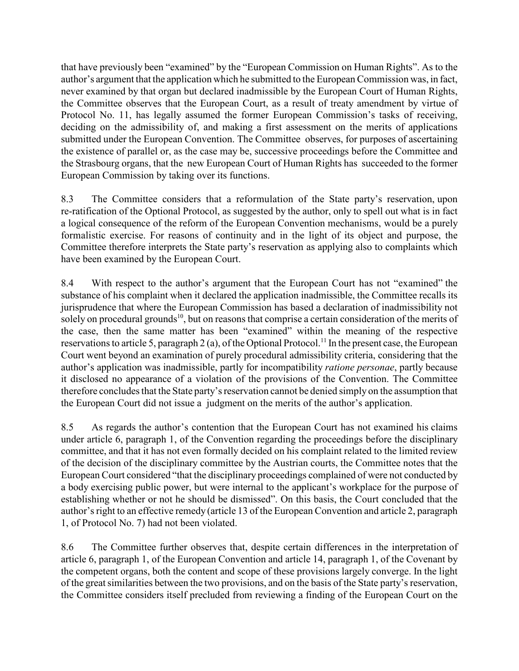that have previously been "examined" by the "European Commission on Human Rights". As to the author's argument that the application which he submitted to the European Commission was, in fact, never examined by that organ but declared inadmissible by the European Court of Human Rights, the Committee observes that the European Court, as a result of treaty amendment by virtue of Protocol No. 11, has legally assumed the former European Commission's tasks of receiving, deciding on the admissibility of, and making a first assessment on the merits of applications submitted under the European Convention. The Committee observes, for purposes of ascertaining the existence of parallel or, as the case may be, successive proceedings before the Committee and the Strasbourg organs, that the new European Court of Human Rights has succeeded to the former European Commission by taking over its functions.

8.3 The Committee considers that a reformulation of the State party's reservation, upon re-ratification of the Optional Protocol, as suggested by the author, only to spell out what is in fact a logical consequence of the reform of the European Convention mechanisms, would be a purely formalistic exercise. For reasons of continuity and in the light of its object and purpose, the Committee therefore interprets the State party's reservation as applying also to complaints which have been examined by the European Court.

8.4 With respect to the author's argument that the European Court has not "examined" the substance of his complaint when it declared the application inadmissible, the Committee recalls its jurisprudence that where the European Commission has based a declaration of inadmissibility not solely on procedural grounds<sup>10</sup>, but on reasons that comprise a certain consideration of the merits of the case, then the same matter has been "examined" within the meaning of the respective reservations to article 5, paragraph 2 (a), of the Optional Protocol.<sup>11</sup> In the present case, the European Court went beyond an examination of purely procedural admissibility criteria, considering that the author's application was inadmissible, partly for incompatibility ratione personae, partly because it disclosed no appearance of a violation of the provisions of the Convention. The Committee therefore concludes that the State party's reservation cannot be denied simply on the assumption that the European Court did not issue a judgment on the merits of the author's application.

8.5 As regards the author's contention that the European Court has not examined his claims under article 6, paragraph 1, of the Convention regarding the proceedings before the disciplinary committee, and that it has not even formally decided on his complaint related to the limited review of the decision of the disciplinary committee by the Austrian courts, the Committee notes that the European Court considered "that the disciplinary proceedings complained of were not conducted by a body exercising public power, but were internal to the applicant's workplace for the purpose of establishing whether or not he should be dismissed". On this basis, the Court concluded that the author's right to an effective remedy (article 13 of the European Convention and article 2, paragraph 1, of Protocol No. 7) had not been violated.

8.6 The Committee further observes that, despite certain differences in the interpretation of article 6, paragraph 1, of the European Convention and article 14, paragraph 1, of the Covenant by the competent organs, both the content and scope of these provisions largely converge. In the light of the great similarities between the two provisions, and on the basis of the State party's reservation, the Committee considers itself precluded from reviewing a finding of the European Court on the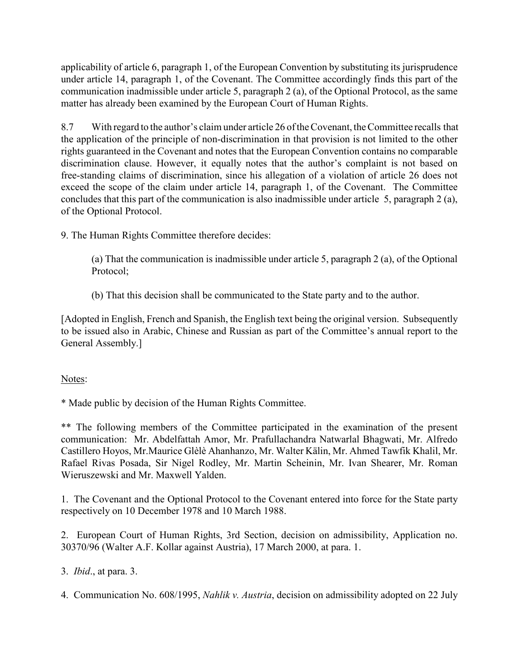applicability of article 6, paragraph 1, of the European Convention by substituting its jurisprudence under article 14, paragraph 1, of the Covenant. The Committee accordingly finds this part of the communication inadmissible under article 5, paragraph 2 (a), of the Optional Protocol, as the same matter has already been examined by the European Court of Human Rights.

8.7 With regard to the author's claim under article 26 of the Covenant, the Committee recalls that the application of the principle of non-discrimination in that provision is not limited to the other rights guaranteed in the Covenant and notes that the European Convention contains no comparable discrimination clause. However, it equally notes that the author's complaint is not based on free-standing claims of discrimination, since his allegation of a violation of article 26 does not exceed the scope of the claim under article 14, paragraph 1, of the Covenant. The Committee concludes that this part of the communication is also inadmissible under article 5, paragraph 2 (a), of the Optional Protocol.

9. The Human Rights Committee therefore decides:

(a) That the communication is inadmissible under article 5, paragraph 2 (a), of the Optional Protocol;

(b) That this decision shall be communicated to the State party and to the author.

[Adopted in English, French and Spanish, the English text being the original version. Subsequently to be issued also in Arabic, Chinese and Russian as part of the Committee's annual report to the General Assembly.]

# Notes:

\* Made public by decision of the Human Rights Committee.

\*\* The following members of the Committee participated in the examination of the present communication: Mr. Abdelfattah Amor, Mr. Prafullachandra Natwarlal Bhagwati, Mr. Alfredo Castillero Hoyos, Mr.Maurice Glèlè Ahanhanzo, Mr. Walter Kälin, Mr. Ahmed Tawfik Khalil, Mr. Rafael Rivas Posada, Sir Nigel Rodley, Mr. Martin Scheinin, Mr. Ivan Shearer, Mr. Roman Wieruszewski and Mr. Maxwell Yalden.

1. The Covenant and the Optional Protocol to the Covenant entered into force for the State party respectively on 10 December 1978 and 10 March 1988.

2. European Court of Human Rights, 3rd Section, decision on admissibility, Application no. 30370/96 (Walter A.F. Kollar against Austria), 17 March 2000, at para. 1.

3. Ibid., at para. 3.

4. Communication No. 608/1995, Nahlik v. Austria, decision on admissibility adopted on 22 July